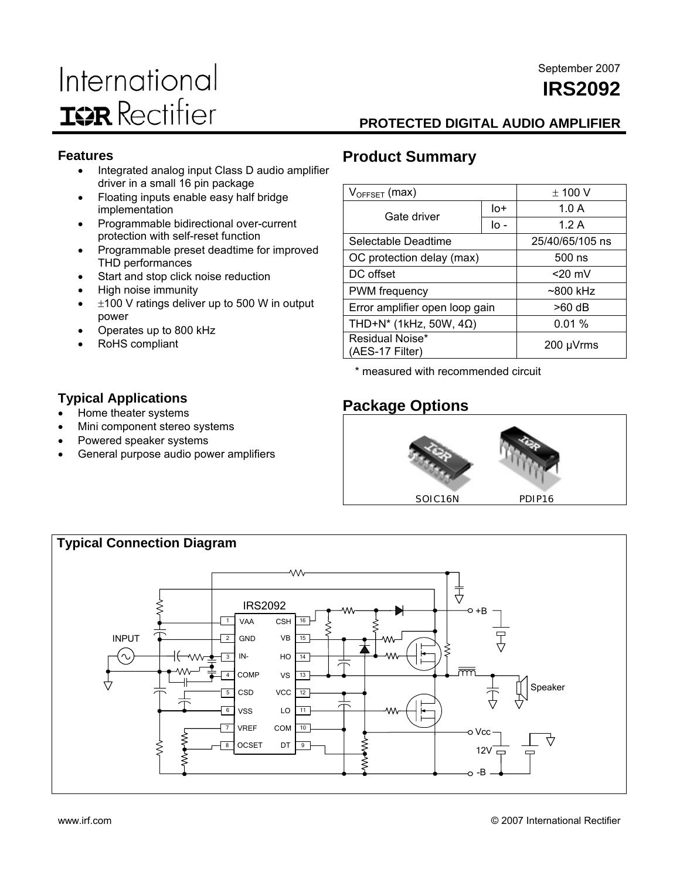## International **IGR** Rectifier

### September 2007 **IRS2092**

### **PROTECTED DIGITAL AUDIO AMPLIFIER**

### **Features**

- Integrated analog input Class D audio amplifier driver in a small 16 pin package
- Floating inputs enable easy half bridge implementation
- Programmable bidirectional over-current protection with self-reset function
- Programmable preset deadtime for improved THD performances
- Start and stop click noise reduction
- High noise immunity
- $±100$  V ratings deliver up to 500 W in output power
- Operates up to 800 kHz

Mini component stereo systems • Powered speaker systems

General purpose audio power amplifiers

RoHS compliant

**Typical Applications**  • Home theater systems

### **Product Summary**

| $V_{OFFSET}$ (max)                 | $\pm$ 100 V     |      |
|------------------------------------|-----------------|------|
| Gate driver                        | lo+             | 1.0A |
|                                    | lo -            | 1.2A |
| Selectable Deadtime                | 25/40/65/105 ns |      |
| OC protection delay (max)          | $500$ ns        |      |
| DC offset                          | $<$ 20 mV       |      |
| <b>PWM</b> frequency               | $~500$ kHz      |      |
| Error amplifier open loop gain     | $>60$ dB        |      |
| THD+N* (1kHz, 50W, 4 $\Omega$ )    | 0.01%           |      |
| Residual Noise*<br>(AES-17 Filter) | 200 µVrms       |      |

\* measured with recommended circuit

### **Package Options**



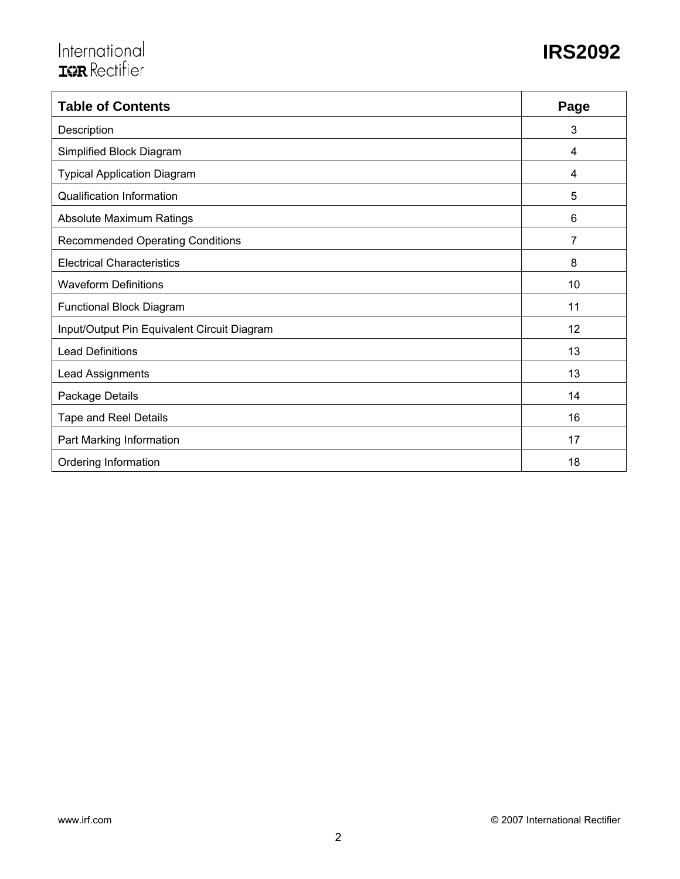| <b>Table of Contents</b>                    | Page |
|---------------------------------------------|------|
| Description                                 | 3    |
| Simplified Block Diagram                    | 4    |
| <b>Typical Application Diagram</b>          | 4    |
| <b>Qualification Information</b>            | 5    |
| Absolute Maximum Ratings                    | 6    |
| <b>Recommended Operating Conditions</b>     | 7    |
| <b>Electrical Characteristics</b>           | 8    |
| <b>Waveform Definitions</b>                 | 10   |
| Functional Block Diagram                    | 11   |
| Input/Output Pin Equivalent Circuit Diagram | 12   |
| <b>Lead Definitions</b>                     | 13   |
| Lead Assignments                            | 13   |
| Package Details                             | 14   |
| Tape and Reel Details                       | 16   |
| Part Marking Information                    | 17   |
| Ordering Information                        | 18   |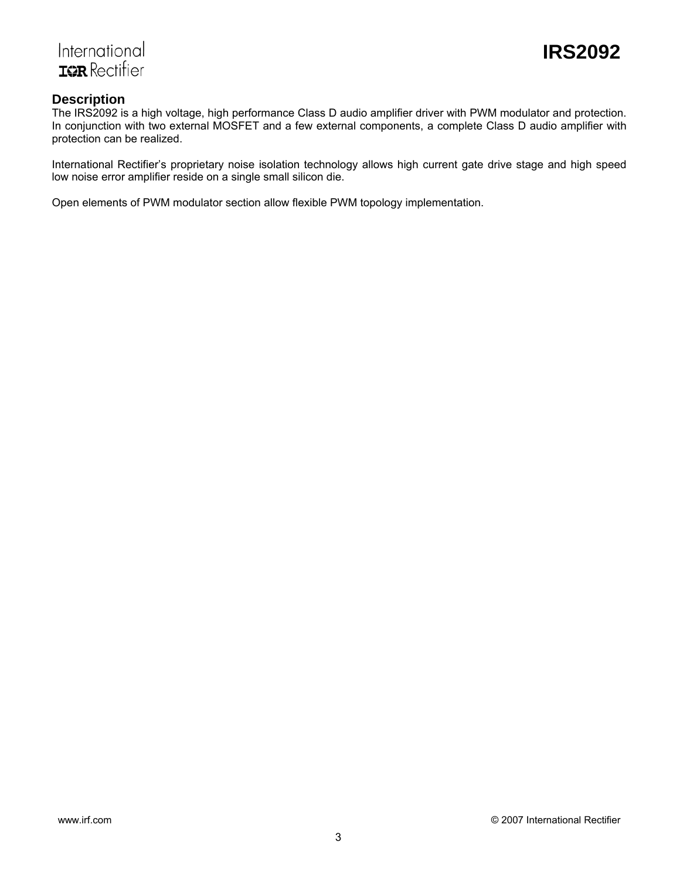

### International **ISR** Rectifier

### **Description**

The IRS2092 is a high voltage, high performance Class D audio amplifier driver with PWM modulator and protection. In conjunction with two external MOSFET and a few external components, a complete Class D audio amplifier with protection can be realized.

International Rectifier's proprietary noise isolation technology allows high current gate drive stage and high speed low noise error amplifier reside on a single small silicon die.

Open elements of PWM modulator section allow flexible PWM topology implementation.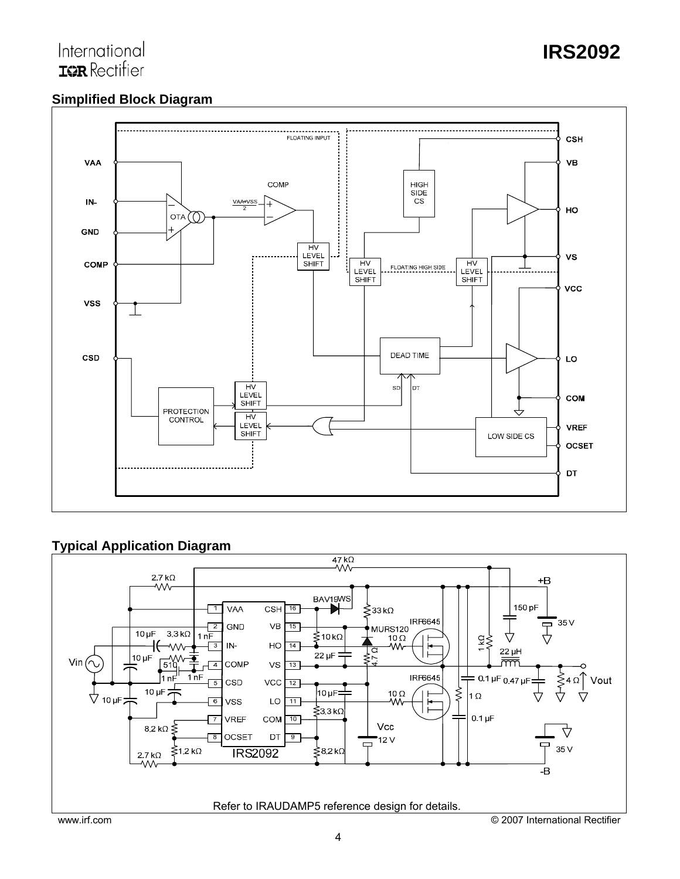### **Simplified Block Diagram**



### **Typical Application Diagram**

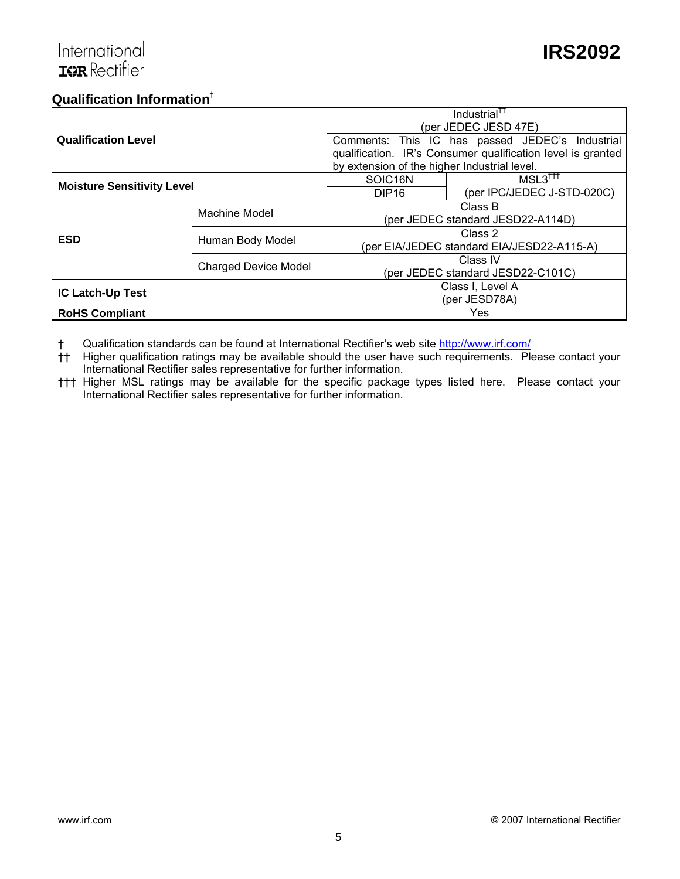### **Qualification Information**†

|                                   |                             |                                              | Industrial <sup>tt</sup>                                    |  |  |
|-----------------------------------|-----------------------------|----------------------------------------------|-------------------------------------------------------------|--|--|
|                                   |                             | (per JEDEC JESD 47E)                         |                                                             |  |  |
| <b>Qualification Level</b>        |                             |                                              | Comments: This IC has passed JEDEC's Industrial             |  |  |
|                                   |                             |                                              | qualification. IR's Consumer qualification level is granted |  |  |
|                                   |                             | by extension of the higher Industrial level. |                                                             |  |  |
| <b>Moisture Sensitivity Level</b> |                             | SOIC <sub>16N</sub>                          | $MSL3^{\dagger\dagger\dagger}$                              |  |  |
|                                   |                             | DIP <sub>16</sub>                            | (per IPC/JEDEC J-STD-020C)                                  |  |  |
|                                   | Machine Model               | Class B                                      |                                                             |  |  |
|                                   |                             | (per JEDEC standard JESD22-A114D)            |                                                             |  |  |
| <b>ESD</b>                        | Human Body Model            | Class 2                                      |                                                             |  |  |
|                                   |                             | (per EIA/JEDEC standard EIA/JESD22-A115-A)   |                                                             |  |  |
|                                   | <b>Charged Device Model</b> |                                              | Class IV                                                    |  |  |
|                                   |                             | (per JEDEC standard JESD22-C101C)            |                                                             |  |  |
| <b>IC Latch-Up Test</b>           |                             | Class I, Level A                             |                                                             |  |  |
|                                   |                             | (per JESD78A)                                |                                                             |  |  |
| <b>RoHS Compliant</b>             |                             |                                              | Yes                                                         |  |  |

† Qualification standards can be found at International Rectifier's web site http://www.irf.com/

†† Higher qualification ratings may be available should the user have such requirements. Please contact your International Rectifier sales representative for further information.

††† Higher MSL ratings may be available for the specific package types listed here. Please contact your International Rectifier sales representative for further information.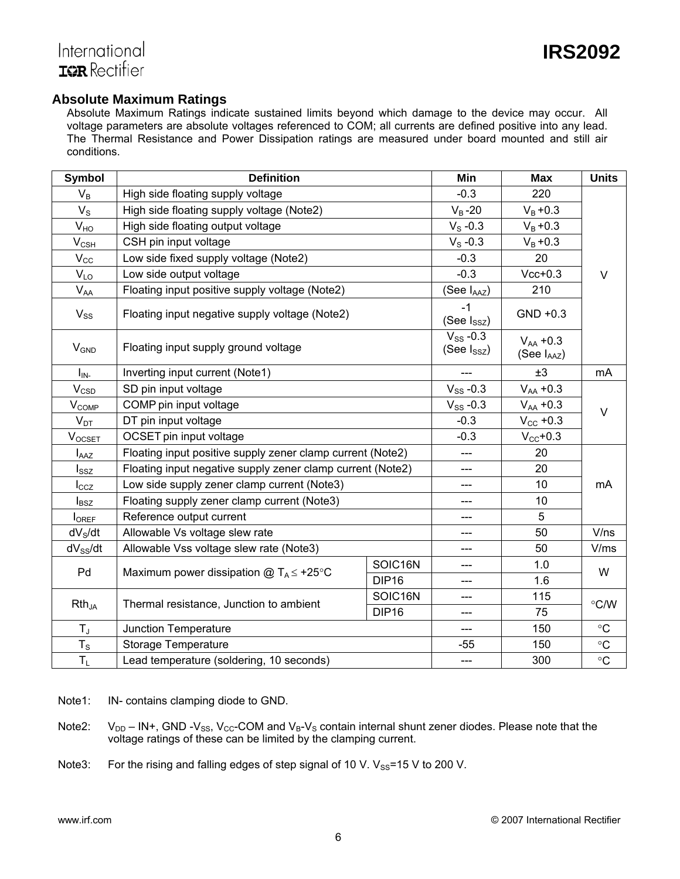### **Absolute Maximum Ratings**

Absolute Maximum Ratings indicate sustained limits beyond which damage to the device may occur. All voltage parameters are absolute voltages referenced to COM; all currents are defined positive into any lead. The Thermal Resistance and Power Dissipation ratings are measured under board mounted and still air conditions.

| <b>Symbol</b>              | <b>Definition</b>                                          | Min                               | <b>Max</b>                   | <b>Units</b>         |               |
|----------------------------|------------------------------------------------------------|-----------------------------------|------------------------------|----------------------|---------------|
| $V_B$                      | High side floating supply voltage                          |                                   | $-0.3$                       | 220                  |               |
| $V_{\rm S}$                | High side floating supply voltage (Note2)                  |                                   | $V_B - 20$                   | $V_B + 0.3$          |               |
| V <sub>HO</sub>            | High side floating output voltage                          |                                   | $V_S - 0.3$                  | $V_{B} + 0.3$        |               |
| $V_{CSH}$                  | CSH pin input voltage                                      |                                   | $Vs -0.3$                    | $V_{B} + 0.3$        |               |
| $V_{\rm CC}$               | Low side fixed supply voltage (Note2)                      |                                   | $-0.3$                       | 20                   |               |
| $V_{LO}$                   | Low side output voltage                                    | $-0.3$                            | $Vcc+0.3$                    | $\vee$               |               |
| $\mathsf{V}_{\mathsf{AA}}$ | Floating input positive supply voltage (Note2)             |                                   | (See IAAZ)                   | 210                  |               |
| $V_{SS}$                   | Floating input negative supply voltage (Note2)             |                                   | $-1$<br>(See Issz)           | GND +0.3             |               |
| <b>V<sub>GND</sub></b>     | Floating input supply ground voltage                       | $V_{SS}$ -0.3<br>(See $I_{SSZ}$ ) | $V_{AA} + 0.3$<br>(See IAAZ) |                      |               |
| $I_{IN}$                   | Inverting input current (Note1)                            |                                   | ±3                           | mA                   |               |
| $V_{\text{CSD}}$           | SD pin input voltage                                       | $V_{SS}$ -0.3                     | $V_{AA} + 0.3$               |                      |               |
| $V_{COMP}$                 | COMP pin input voltage                                     | $V_{SS}$ -0.3                     | $V_{AA} + 0.3$               | $\vee$               |               |
| $V_{DT}$                   | DT pin input voltage                                       |                                   | $-0.3$                       | $V_{\text{CC}}$ +0.3 |               |
| $V_{OCSET}$                | OCSET pin input voltage                                    |                                   | $-0.3$                       | $V_{CC}$ +0.3        |               |
| $I_{\text{AAZ}}$           | Floating input positive supply zener clamp current (Note2) |                                   | ---                          | 20                   |               |
| $I_{SSZ}$                  | Floating input negative supply zener clamp current (Note2) |                                   |                              | 20                   |               |
| $I_{CCZ}$                  | Low side supply zener clamp current (Note3)                |                                   | ---                          | 10                   | mA            |
| $I_{BSZ}$                  | Floating supply zener clamp current (Note3)                |                                   |                              | 10                   |               |
| <b>I</b> OREF              | Reference output current                                   |                                   | ---                          | 5                    |               |
| dV <sub>S</sub> /dt        | Allowable Vs voltage slew rate                             |                                   | ---                          | 50                   | V/ns          |
| $dV_{SS}/dt$               | Allowable Vss voltage slew rate (Note3)                    | ---                               | 50                           | V/ms                 |               |
| Pd                         | Maximum power dissipation $@T_A \leq +25°C$                | SOIC16N                           | ---                          | 1.0                  | W             |
|                            |                                                            | <b>DIP16</b>                      | ---                          | 1.6                  |               |
| $Rth_{JA}$                 | Thermal resistance, Junction to ambient                    | SOIC16N                           | ---                          | 115                  | $\degree$ C/W |
|                            | <b>DIP16</b>                                               |                                   | ---                          | 75                   |               |
| $T_{\rm J}$                | Junction Temperature                                       |                                   | ---                          | 150                  | $\circ$ C     |
| $T_S$                      | <b>Storage Temperature</b>                                 |                                   | $-55$                        | 150                  | $\circ$ C     |
| $T_L$                      | Lead temperature (soldering, 10 seconds)                   | ---                               | 300                          | $\circ$ C            |               |

Note1: IN- contains clamping diode to GND.

Note2:  $V_{DD} - IN +$ , GND - $V_{SS}$ ,  $V_{CC}$ -COM and  $V_B$ - $V_S$  contain internal shunt zener diodes. Please note that the voltage ratings of these can be limited by the clamping current.

Note3: For the rising and falling edges of step signal of 10 V.  $V_{SS}$ =15 V to 200 V.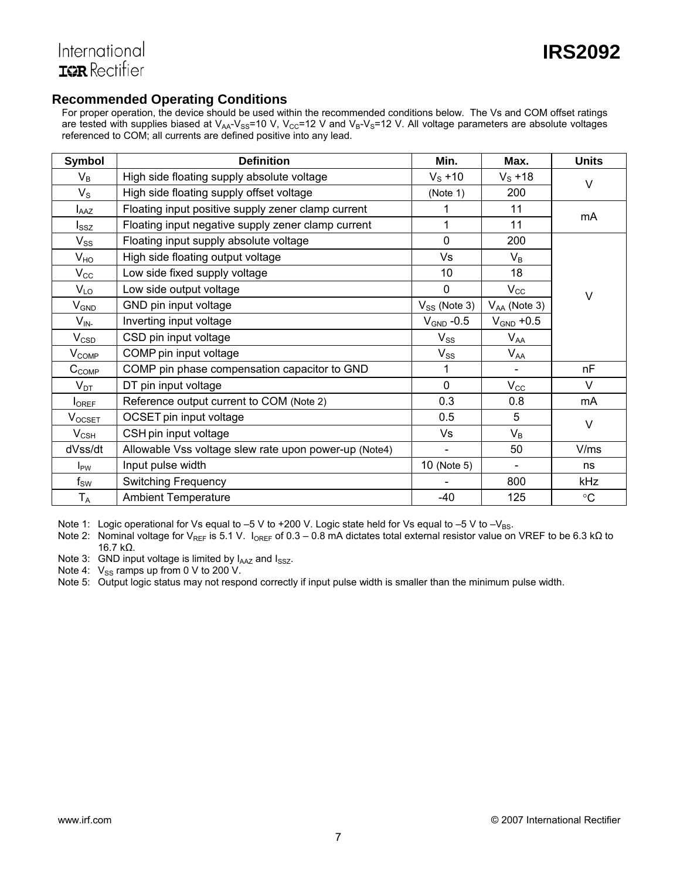### **Recommended Operating Conditions**

For proper operation, the device should be used within the recommended conditions below. The Vs and COM offset ratings are tested with supplies biased at  $V_{AA}$ - $V_{SS}$ =10 V,  $V_{CC}$ =12 V and  $V_B$ - $V_S$ =12 V. All voltage parameters are absolute voltages referenced to COM; all currents are defined positive into any lead.

| Symbol                      | <b>Definition</b>                                     | Min.              | Max.              | <b>Units</b> |
|-----------------------------|-------------------------------------------------------|-------------------|-------------------|--------------|
| $V_B$                       | High side floating supply absolute voltage            | $V_S + 10$        | $V_S + 18$        | $\vee$       |
| $V_{\rm S}$                 | High side floating supply offset voltage              | (Note 1)          | 200               |              |
| $I_{\text{AAZ}}$            | Floating input positive supply zener clamp current    | 1                 | 11                | mA           |
| $I_{SSZ}$                   | Floating input negative supply zener clamp current    | 1                 | 11                |              |
| $V_{SS}$                    | Floating input supply absolute voltage                | $\mathbf 0$       | 200               |              |
| $V_{HO}$                    | High side floating output voltage                     | Vs                | $V_B$             |              |
| $\mathsf{V}_{\mathsf{CC}}$  | Low side fixed supply voltage                         | 10                | 18                |              |
| $V_{LO}$                    | Low side output voltage                               | 0                 | $V_{CC}$          | V            |
| $\mathsf{V}_{\mathsf{GND}}$ | GND pin input voltage                                 | $V_{SS}$ (Note 3) | $V_{AA}$ (Note 3) |              |
| $V_{\mathsf{IN}^-}$         | Inverting input voltage                               | $V_{GND}$ -0.5    | $V_{GND}$ +0.5    |              |
| $V_{CSD}$                   | CSD pin input voltage                                 | $V_{SS}$          | $V_{AA}$          |              |
| $V_{\text{COMP}}$           | COMP pin input voltage                                | $V_{SS}$          | $V_{AA}$          |              |
| $C_{COMP}$                  | COMP pin phase compensation capacitor to GND          | 1                 | $\blacksquare$    | nF           |
| $V_{DT}$                    | DT pin input voltage                                  | $\mathbf 0$       | $V_{\rm CC}$      | V            |
| $I_{OREF}$                  | Reference output current to COM (Note 2)              | 0.3               | 0.8               | mA           |
| $V_{OCSET}$                 | OCSET pin input voltage                               | 0.5               | 5                 | $\vee$       |
| $V_{CSH}$                   | CSH pin input voltage                                 | Vs                | $V_B$             |              |
| dVss/dt                     | Allowable Vss voltage slew rate upon power-up (Note4) |                   | 50                | V/ms         |
| $I_{PW}$                    | Input pulse width                                     | 10 (Note 5)       |                   | ns           |
| $\mathsf{f}_\mathsf{SW}$    | <b>Switching Frequency</b>                            |                   | 800               | kHz          |
| $T_A$                       | <b>Ambient Temperature</b>                            | -40               | 125               | $\circ$ C    |

Note 1: Logic operational for Vs equal to -5 V to +200 V. Logic state held for Vs equal to -5 V to -V<sub>BS</sub>.

Note 2: Nominal voltage for V<sub>REF</sub> is 5.1 V. I<sub>OREF</sub> of 0.3 – 0.8 mA dictates total external resistor value on VREF to be 6.3 kΩ to 16.7 kΩ.

Note 3: GND input voltage is limited by  $I_{AAZ}$  and  $I_{SSZ}$ .

Note 4:  $V_{SS}$  ramps up from 0 V to 200 V.

Note 5: Output logic status may not respond correctly if input pulse width is smaller than the minimum pulse width.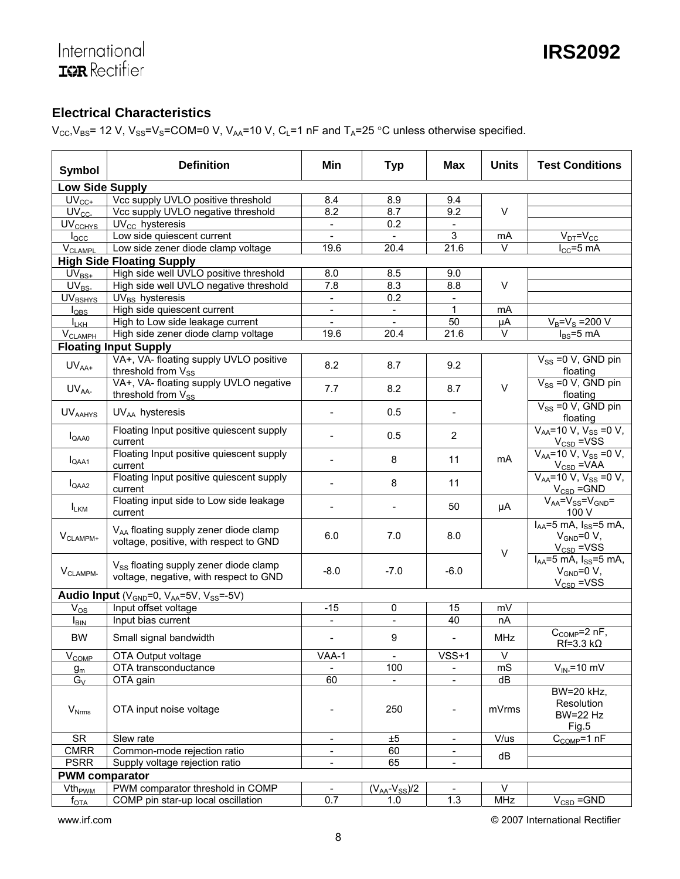### **Electrical Characteristics**

 $V_{CC}$ ,  $V_{BS}$  = 12 V,  $V_{SS}$  =  $V_S$  = COM = 0 V,  $V_{AA}$  = 10 V,  $C_L$  = 1 nF and  $T_A$  = 25 °C unless otherwise specified.

| Symbol                                 | <b>Definition</b>                                                                           | Min                          | <b>Typ</b>          | <b>Max</b>               | <b>Units</b> | <b>Test Conditions</b>                                                |  |
|----------------------------------------|---------------------------------------------------------------------------------------------|------------------------------|---------------------|--------------------------|--------------|-----------------------------------------------------------------------|--|
| <b>Low Side Supply</b>                 |                                                                                             |                              |                     |                          |              |                                                                       |  |
| $UV_{CC+}$                             | Vcc supply UVLO positive threshold                                                          | 8.4                          | 8.9                 | 9.4                      |              |                                                                       |  |
| $\mathsf{U} \mathsf{V}_{\mathsf{CC}}$  | Vcc supply UVLO negative threshold                                                          | 8.2                          | 8.7                 | 9.2                      | $\vee$       |                                                                       |  |
| <b>UVCCHYS</b>                         | $UV_{CC}$ hysteresis                                                                        | $\blacksquare$               | 0.2                 | $\overline{\phantom{a}}$ |              |                                                                       |  |
| $I_{\text{QCC}}$                       | Low side quiescent current                                                                  |                              |                     | 3                        | mA           | $V_{DT} = V_{CC}$                                                     |  |
| <b>V<sub>CLAMPL</sub></b>              | Low side zener diode clamp voltage                                                          | 19.6                         | 20.4                | 21.6                     | $\vee$       | $I_{CC} = 5$ mA                                                       |  |
|                                        | <b>High Side Floating Supply</b>                                                            |                              |                     |                          |              |                                                                       |  |
| $UV_{BS+}$                             | High side well UVLO positive threshold                                                      | 8.0                          | 8.5                 | 9.0                      |              |                                                                       |  |
| $\overline{\mathsf{UV}}_{\mathsf{BS}}$ | High side well UVLO negative threshold                                                      | 7.8                          | 8.3                 | 8.8                      | $\vee$       |                                                                       |  |
| <b>UVBSHYS</b>                         | $UV_{BS}$ hysteresis                                                                        | $\frac{1}{2}$                | 0.2                 | $\overline{\phantom{a}}$ |              |                                                                       |  |
| $I_{\text{QBS}}$                       | High side quiescent current                                                                 | $\qquad \qquad \blacksquare$ |                     | 1                        | mA           |                                                                       |  |
| $L_{\rm KH}$                           | High to Low side leakage current                                                            | $\blacksquare$               | $\overline{a}$      | 50                       | μA           | $V_B = V_S = 200 V$                                                   |  |
| <b>V<sub>CLAMPH</sub></b>              | High side zener diode clamp voltage                                                         | 19.6                         | 20.4                | 21.6                     | $\vee$       | $I_{BS} = 5$ mA                                                       |  |
|                                        | <b>Floating Input Supply</b>                                                                |                              |                     |                          |              |                                                                       |  |
| $UV_{AA+}$                             | VA+, VA- floating supply UVLO positive<br>threshold from Vss                                | 8.2                          | 8.7                 | 9.2                      |              | $V_{SS}$ =0 V, GND pin<br>floating                                    |  |
| $UV_{AA}$                              | VA+, VA- floating supply UVLO negative<br>threshold from Vss                                | 7.7                          | 8.2                 | 8.7                      | $\vee$       | $V_{SS}$ =0 V, GND pin<br>floating                                    |  |
| <b>UVAAHYS</b>                         | $UV_{AA}$ hysteresis                                                                        | $\overline{a}$               | 0.5                 |                          |              | $V_{SS}$ =0 V, GND pin<br>floating                                    |  |
| $I_{QAAO}$                             | Floating Input positive quiescent supply<br>current                                         |                              | 0.5                 | $\overline{2}$           |              | $V_{AA}$ =10 V, V <sub>SS</sub> =0 V,<br>$V_{CSD} = VSS$              |  |
| $I_{QAA1}$                             | Floating Input positive quiescent supply<br>current                                         |                              | 8                   | 11                       | mA           | $V_{AA}$ =10 V, V <sub>SS</sub> =0 V,<br>$V_{CSD} = VAA$              |  |
| $I_{QAA2}$                             | Floating Input positive quiescent supply<br>current                                         |                              | 8                   | 11                       |              | $V_{AA} = 10 V, V_{SS} = 0 V,$<br>$V_{CSD} = GND$                     |  |
| <b>LKM</b>                             | Floating input side to Low side leakage<br>current                                          |                              |                     | 50                       | μA           | $V_{AA} = V_{SS} = V_{GND} =$<br>100 V                                |  |
| $V_{CLAMPM+}$                          | V <sub>AA</sub> floating supply zener diode clamp<br>voltage, positive, with respect to GND | 6.0                          | 7.0                 | 8.0                      | $\vee$       | $I_{AA} = 5$ mA, $I_{SS} = 5$ mA,<br>$V_{GND}=0 V,$<br>$V_{CSD}$ =VSS |  |
| V <sub>CLAMPM-</sub>                   | V <sub>SS</sub> floating supply zener diode clamp<br>voltage, negative, with respect to GND | $-8.0$                       | $-7.0$              | $-6.0$                   |              | $I_{AA} = 5$ mA, $I_{SS} = 5$ mA,<br>$V_{GND}=0 V,$<br>$V_{CSD}$ =VSS |  |
|                                        | Audio Input (V <sub>GND</sub> =0, VAA=5V, V <sub>SS</sub> =-5V)                             |                              |                     |                          |              |                                                                       |  |
| $V_{OS}$                               | Input offset voltage                                                                        | $-15$                        | 0                   | 15                       | mV           |                                                                       |  |
| $I_{\text{BIN}}$                       | Input bias current                                                                          | $\frac{1}{2}$                | $\overline{a}$      | $\overline{40}$          | nA           |                                                                       |  |
| <b>BW</b>                              | Small signal bandwidth                                                                      | $\overline{\phantom{a}}$     | 9                   | $\overline{\phantom{a}}$ | <b>MHz</b>   | $C_{COMP}=2$ nF,<br>$Rf=3.3 k\Omega$                                  |  |
| $\overline{V}_{\text{COMP}}$           | OTA Output voltage                                                                          | $\overline{V}AA-1$           | $\bar{\phantom{a}}$ | $VSS+1$                  | $\vee$       |                                                                       |  |
| $g_m$                                  | OTA transconductance                                                                        |                              | 100                 |                          | mS           | $V_{IN}$ =10 mV                                                       |  |
| $G_V$                                  | OTA gain                                                                                    | 60                           |                     |                          | dB           |                                                                       |  |
| $\rm V_{Nrms}$                         | OTA input noise voltage                                                                     |                              | 250                 |                          | mVrms        | BW=20 kHz,<br>Resolution<br><b>BW=22 Hz</b><br>Fig.5                  |  |
| <b>SR</b>                              | Slew rate                                                                                   | $\overline{\phantom{m}}$     | ±5                  |                          | V/us         | $C_{COMP}=1$ nF                                                       |  |
| <b>CMRR</b>                            | Common-mode rejection ratio                                                                 | $\overline{\phantom{a}}$     | 60                  | $\sim$                   |              |                                                                       |  |
| <b>PSRR</b>                            | Supply voltage rejection ratio                                                              | $\blacksquare$               | 65                  |                          | dB           |                                                                       |  |
|                                        | <b>PWM</b> comparator                                                                       |                              |                     |                          |              |                                                                       |  |
| <b>Vth<sub>pwM</sub></b>               | PWM comparator threshold in COMP                                                            | $\overline{\phantom{a}}$     | $(VAA-VSS)/2$       |                          | V            |                                                                       |  |
| $f_{\text{OTA}}$                       | COMP pin star-up local oscillation                                                          | 0.7                          | 1.0                 | 1.3                      | MHz          | $V_{CSD} = GND$                                                       |  |

www.irf.com **Example 2007** International Rectifier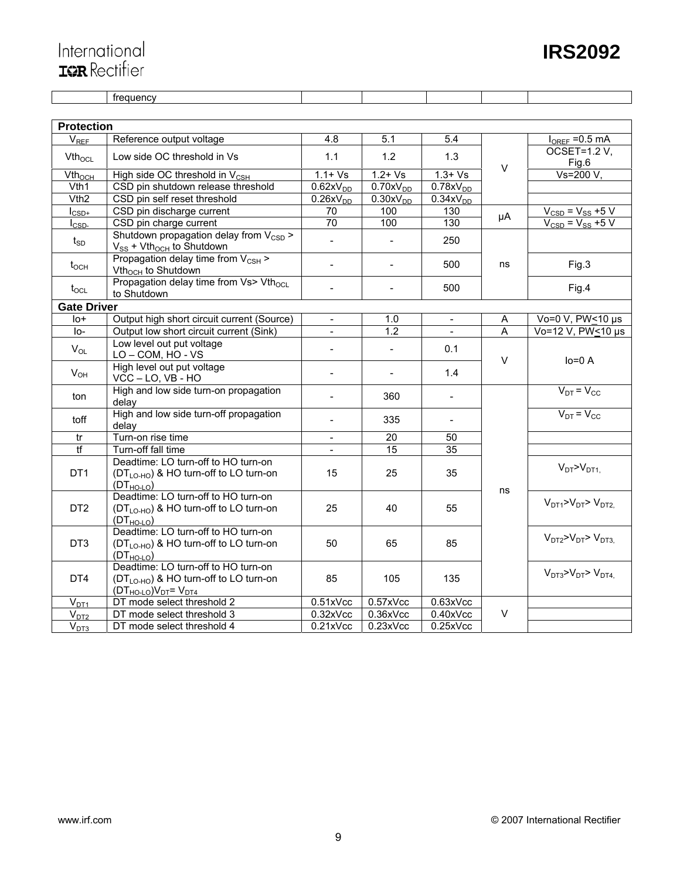### **IRS2092**

# International<br>Tarkectifier

|                           | <b>Protection</b>                                                                                                |                              |                              |                          |        |                                        |
|---------------------------|------------------------------------------------------------------------------------------------------------------|------------------------------|------------------------------|--------------------------|--------|----------------------------------------|
| $V_{REF}$                 | Reference output voltage                                                                                         | 4.8                          | 5.1                          | 5.4                      |        | $I_{OREF}$ = 0.5 mA                    |
| $Vth_{OCL}$               | Low side OC threshold in Vs                                                                                      | 1.1<br>1.2                   |                              | 1.3                      |        | OCSET=1.2 V.                           |
|                           |                                                                                                                  |                              |                              |                          | V      | Fig.6                                  |
| Vth <sub>och</sub>        | High side OC threshold in V <sub>CSH</sub>                                                                       | $1.1 + VS$                   | $1.2 + Vs$                   | $1.3 + Vs$               |        | Vs=200 V.                              |
| Vth1                      | CSD pin shutdown release threshold                                                                               | 0.62xV <sub>DD</sub>         | 0.70xV <sub>DD</sub>         | $0.78xV_{DD}$            |        |                                        |
| Vth2                      | CSD pin self reset threshold                                                                                     | $\overline{0.26}$ x $V_{DD}$ | $\overline{0.30}$ x $V_{DD}$ | 0.34xV <sub>DD</sub>     |        |                                        |
| $I_{\text{CSD+}}$         | CSD pin discharge current                                                                                        | 70                           | 100                          | 130                      | μA     | $V_{CSD}$ = $V_{SS}$ +5 V              |
| $I_{\text{CSD-}}$         | CSD pin charge current                                                                                           | 70                           | 100                          | 130                      |        | $V_{\text{CSD}} = V_{\text{SS}} + 5 V$ |
| $t_{SD}$                  | Shutdown propagation delay from $V_{CSD}$ ><br>$V_{SS}$ + Vth <sub>och</sub> to Shutdown                         | $\frac{1}{2}$                |                              | 250                      |        |                                        |
| $t_{OCH}$                 | Propagation delay time from V <sub>CSH</sub> ><br>Vth <sub>och</sub> to Shutdown                                 | $\blacksquare$               | $\overline{\phantom{a}}$     | 500                      | ns     | Fig.3                                  |
| $t_{\rm OCL}$             | Propagation delay time from Vs> Vth <sub>ocL</sub><br>to Shutdown                                                | $\overline{a}$               | $\blacksquare$               | 500                      |        | Fig.4                                  |
| <b>Gate Driver</b>        |                                                                                                                  |                              |                              |                          |        |                                        |
| $10+$                     | Output high short circuit current (Source)                                                                       | $\blacksquare$               | 1.0                          | $\overline{\phantom{a}}$ | A      | Vo=0 V, PW<10 µs                       |
| I <sub>O</sub>            | Output low short circuit current (Sink)                                                                          |                              | 1.2                          |                          | A      | Vo=12 V, PW<10 µs                      |
| $V_{OL}$                  | Low level out put voltage<br>LO-COM, HO-VS                                                                       | $\overline{\phantom{a}}$     | $\blacksquare$               | 0.1                      |        |                                        |
| $V_{OH}$                  | High level out put voltage<br>VCC-LO, VB-HO                                                                      | $\overline{\phantom{a}}$     | $\overline{\phantom{a}}$     | 1.4                      | $\vee$ | $lo = 0 A$                             |
| ton                       | High and low side turn-on propagation<br>delav                                                                   | $\overline{\phantom{a}}$     | 360                          | $\equiv$                 |        | $V_{DT} = V_{CC}$                      |
| toff                      | High and low side turn-off propagation<br>delay                                                                  | $\sim$                       | 335                          | $\blacksquare$           |        | $V_{DT} = V_{CC}$                      |
| tr                        | Turn-on rise time                                                                                                | $\overline{\phantom{a}}$     | $\overline{20}$              | 50                       |        |                                        |
| $\overline{\mathfrak{t}}$ | Turn-off fall time                                                                                               |                              | 15                           | 35                       |        |                                        |
| DT <sub>1</sub>           | Deadtime: LO turn-off to HO turn-on<br>$(DTLO-HO)$ & HO turn-off to LO turn-on<br>$(DT_{HO-LO})$                 | 15                           | 25                           | 35                       |        | $V_{DT} > V_{DT1}$                     |
| DT <sub>2</sub>           | Deadtime: LO turn-off to HO turn-on<br>(DT <sub>LO-HO</sub> ) & HO turn-off to LO turn-on<br>$(DTHO-LO)$         | 25                           | 40                           | 55                       | ns     | $VDT1 > VDT > VDT2$                    |
| DT <sub>3</sub>           | Deadtime: LO turn-off to HO turn-on<br>(DT <sub>LO-HO</sub> ) & HO turn-off to LO turn-on<br>$(DT_{HO-LO})$      | 50                           | 65                           | 85                       |        | $VDT2 > VDT > VDT3$                    |
| DT4                       | Deadtime: LO turn-off to HO turn-on<br>(DT <sub>LO-HO</sub> ) & HO turn-off to LO turn-on<br>$(DTHO-LO)VDT=VDT4$ | 85                           | 105                          | 135                      |        | $V_{DT3}$ > $V_{DT}$ > $V_{DT4}$       |
| $V_{DT1}$                 | DT mode select threshold 2                                                                                       | 0.51xVec                     | 0.57xVec                     | 0.63xVec                 |        |                                        |
| $V_{D12}$                 | DT mode select threshold 3                                                                                       | 0.32xVcc                     | 0.36xVcc                     | 0.40xVec                 | V      |                                        |
| V <sub>DT3</sub>          | DT mode select threshold 4                                                                                       | 0.21xVec                     | 0.23xVec                     | 0.25xVcc                 |        |                                        |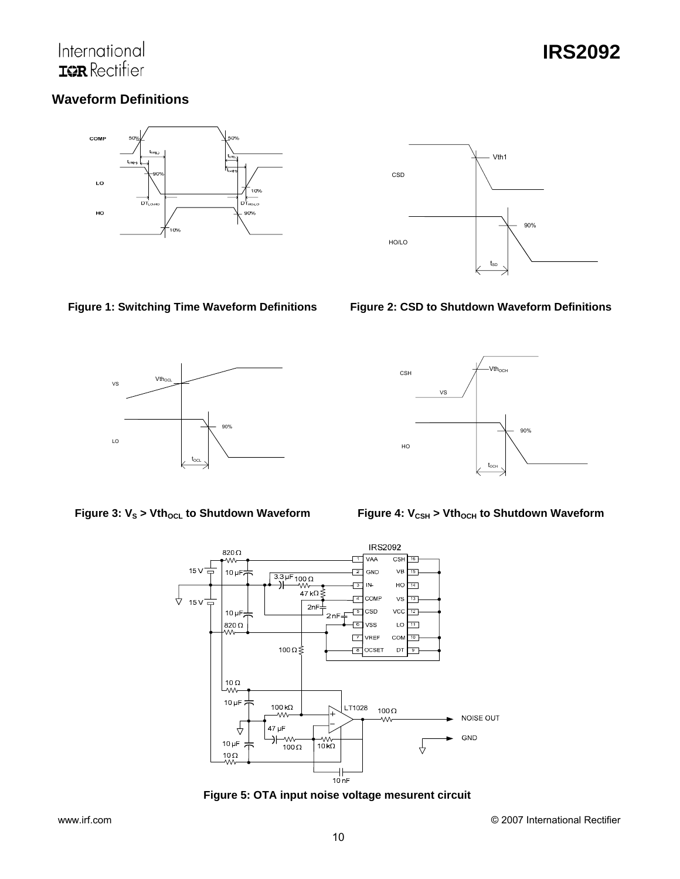### International **IGR** Rectifier

### **IRS2092**

### **Waveform Definitions**





**Figure 1: Switching Time Waveform Definitions Figure 2: CSD to Shutdown Waveform Definitions** 



Vth<sub>och</sub> 90% CSH HO VS

Figure 3: V<sub>S</sub> > Vth<sub>ocL</sub> to Shutdown Waveform **Figure 4: V<sub>CSH</sub> > Vth<sub>ocH</sub> to Shutdown Waveform** 



**Figure 5: OTA input noise voltage mesurent circuit** 



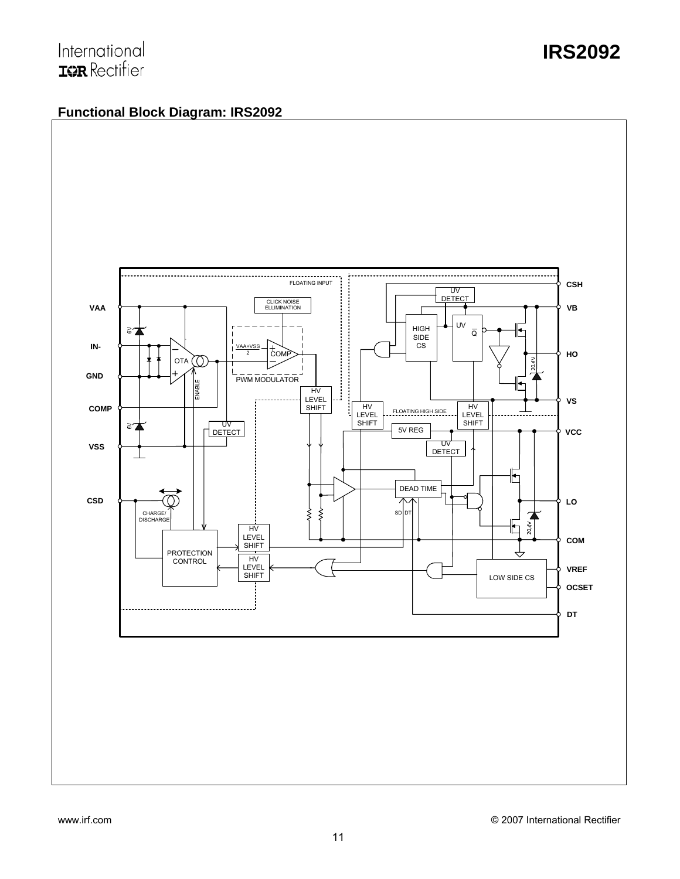### **Functional Block Diagram: IRS2092**

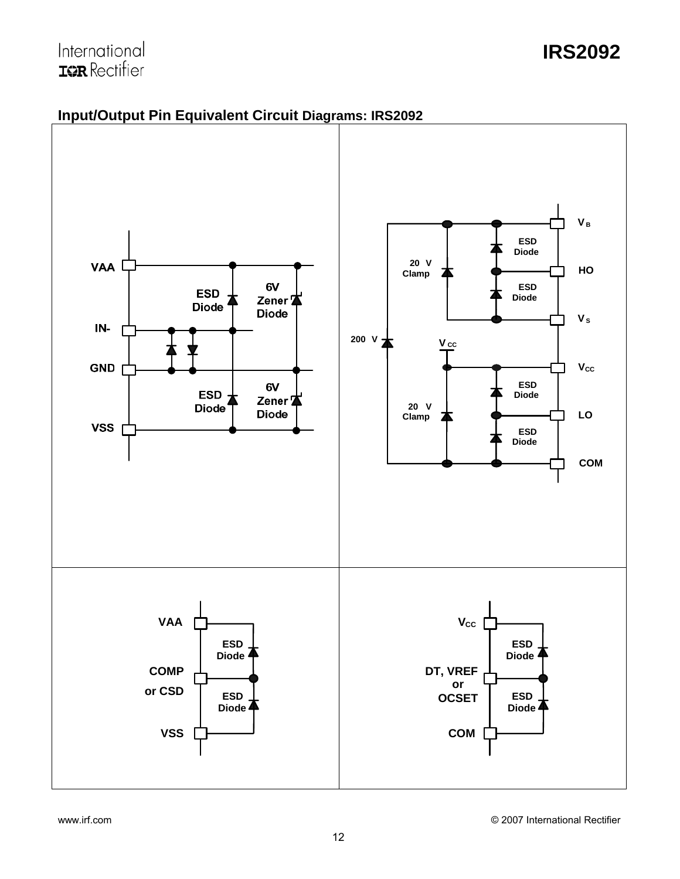### **IRS2092**



### **Input/Output Pin Equivalent Circuit Diagrams: IRS2092**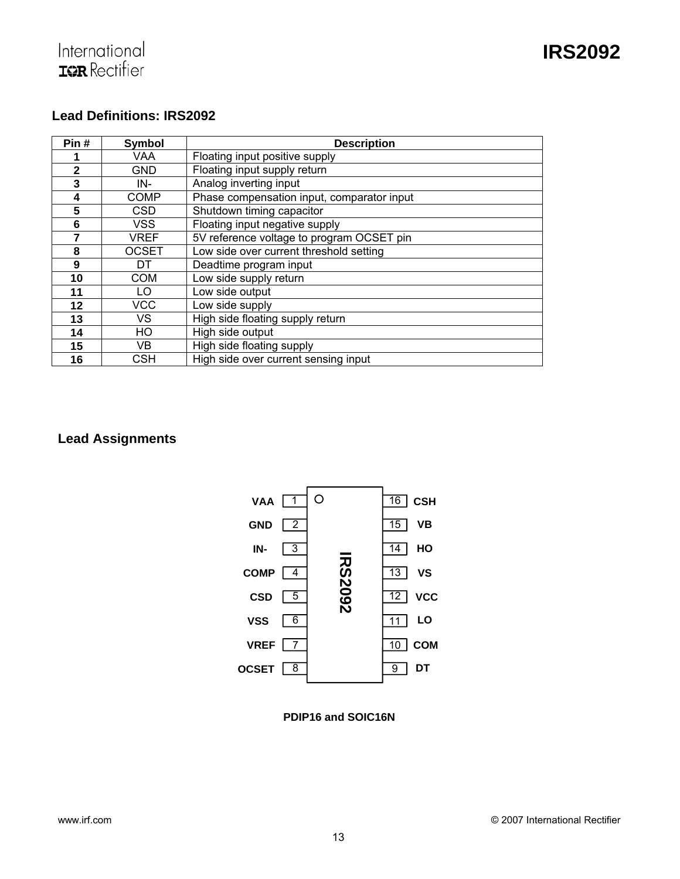

#### **Lead Definitions: IRS2092**

| Pin#         | <b>Symbol</b> | <b>Description</b>                         |
|--------------|---------------|--------------------------------------------|
|              | VAA           | Floating input positive supply             |
| $\mathbf{2}$ | <b>GND</b>    | Floating input supply return               |
| 3            | IN-           | Analog inverting input                     |
| 4            | <b>COMP</b>   | Phase compensation input, comparator input |
| 5            | <b>CSD</b>    | Shutdown timing capacitor                  |
| 6            | VSS           | Floating input negative supply             |
| 7            | <b>VREF</b>   | 5V reference voltage to program OCSET pin  |
| 8            | <b>OCSET</b>  | Low side over current threshold setting    |
| 9            | DT            | Deadtime program input                     |
| 10           | <b>COM</b>    | Low side supply return                     |
| 11           | LO            | Low side output                            |
| 12           | <b>VCC</b>    | Low side supply                            |
| 13           | VS            | High side floating supply return           |
| 14           | HO            | High side output                           |
| 15           | VB            | High side floating supply                  |
| 16           | CSH           | High side over current sensing input       |

### **Lead Assignments**



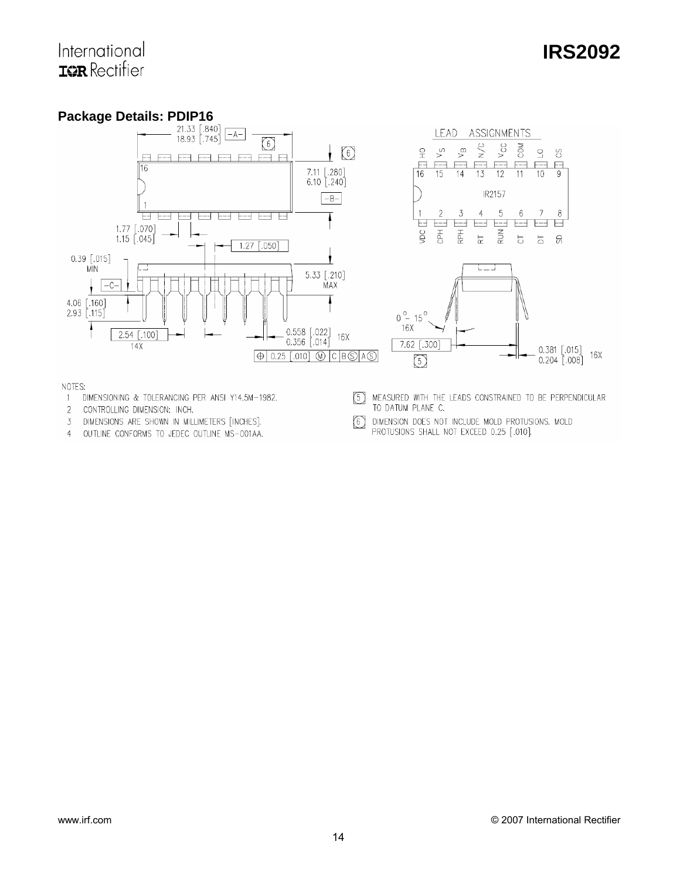## **IRS2092**





NOTES:

- 1 DIMENSIONING & TOLERANCING PER ANSI Y14.5M-1982.
- 2 CONTROLLING DIMENSION: INCH.
- 3 DIMENSIONS ARE SHOWN IN MILLIMETERS [INCHES].
- 4 OUTLINE CONFORMS TO JEDEC OUTLINE MS-001AA.
- 5 MEASURED WITH THE LEADS CONSTRAINED TO BE PERPENDICULAR TO DATUM PLANE C.
- DIMENSION DOES NOT INCLUDE MOLD PROTUSIONS. MOLD  $\circledcirc$ PROTUSIONS SHALL NOT EXCEED 0.25 [.010].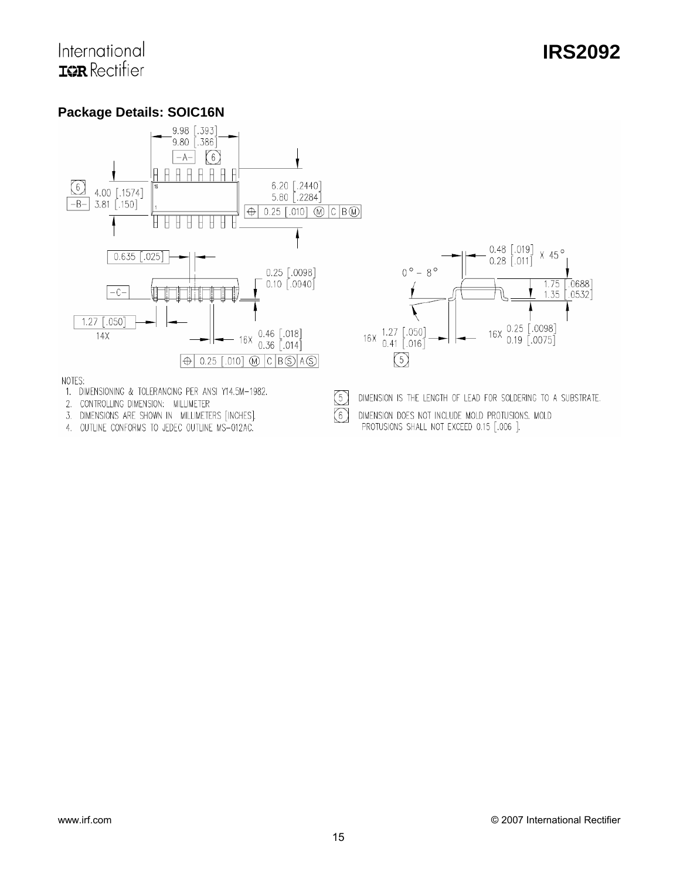### **Package Details: SOIC16N**



 $(5)$ 

 $\sqrt{6}$ 

- 1. DIMENSIONING & TOLERANCING PER ANSI Y14.5M-1982.
- 2. CONTROLLING DIMENSION: MILLIMETER
- 3. DIMENSIONS ARE SHOWN IN MILLIMETERS [INCHES].
- 4. OUTLINE CONFORMS TO JEDEC OUTLINE MS-012AC.

DIMENSION IS THE LENGTH OF LEAD FOR SOLDERING TO A SUBSTRATE.

DIMENSION DOES NOT INCLUDE MOLD PROTUSIONS. MOLD PROTUSIONS SHALL NOT EXCEED 0.15 [.006 ].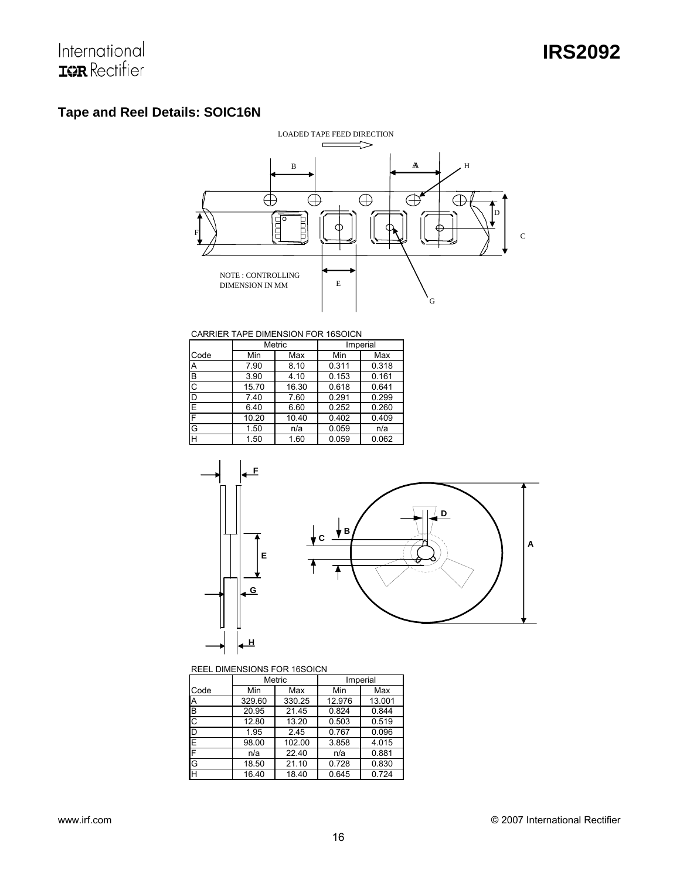### **Tape and Reel Details: SOIC16N**



#### CARRIER TAPE DIMENSION FOR 16SOICN

|                       |       | Metric | Imperial |       |  |
|-----------------------|-------|--------|----------|-------|--|
| Code                  | Min   | Max    | Min      | Max   |  |
| Α                     | 7.90  | 8.10   | 0.311    | 0.318 |  |
| B                     | 3.90  | 4.10   | 0.153    | 0.161 |  |
| $\overline{\text{c}}$ | 15.70 | 16.30  | 0.618    | 0.641 |  |
| D                     | 7.40  | 7.60   | 0.291    | 0.299 |  |
| Ē                     | 6.40  | 6.60   | 0.252    | 0.260 |  |
| F                     | 10.20 | 10.40  | 0.402    | 0.409 |  |
| G                     | 1.50  | n/a    | 0.059    | n/a   |  |
| H                     | 1.50  | 1.60   | 0.059    | 0.062 |  |



#### REEL DIMENSIONS FOR 16SOICN

|      | Metric |        |        | Imperial |  |
|------|--------|--------|--------|----------|--|
| Code | Min    | Max    | Min    | Max      |  |
| Α    | 329.60 | 330.25 | 12.976 | 13.001   |  |
| B    | 20.95  | 21.45  | 0.824  | 0.844    |  |
| C    | 12.80  | 13.20  | 0.503  | 0.519    |  |
| D    | 1.95   | 2.45   | 0.767  | 0.096    |  |
| E    | 98.00  | 102.00 | 3.858  | 4.015    |  |
| F    | n/a    | 22.40  | n/a    | 0.881    |  |
| G    | 18.50  | 21.10  | 0.728  | 0.830    |  |
| H    | 16.40  | 18.40  | 0.645  | 0.724    |  |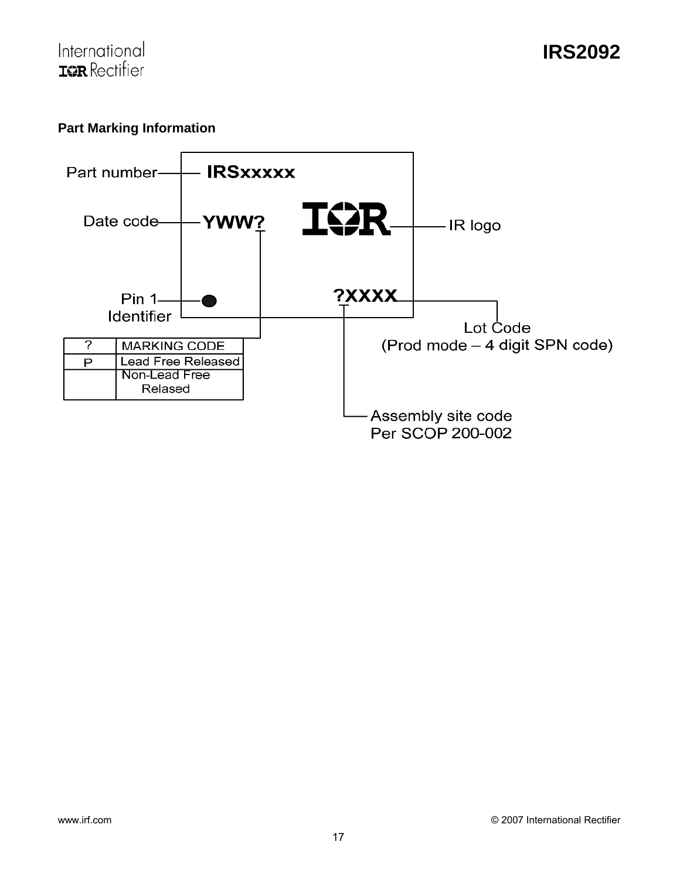### **Part Marking Information**